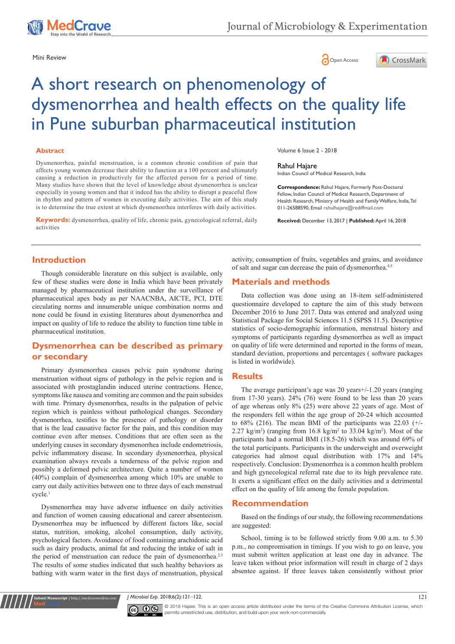





# A short research on phenomenology of dysmenorrhea and health effects on the quality life in Pune suburban pharmaceutical institution

#### **Abstract**

Dysmenorrhea, painful menstruation, is a common chronic condition of pain that affects young women decrease their ability to function at a 100 percent and ultimately causing a reduction in productively for the affected person for a period of time. Many studies have shown that the level of knowledge about dysmenorrhea is unclear especially in young women and that it indeed has the ability to disrupt a peaceful flow in rhythm and pattern of women in executing daily activities. The aim of this study is to determine the true extent at which dysmenorrhea interferes with daily activities.

**Keywords:** dysmenorrhea, quality of life, chronic pain, gynecological referral, daily activities

Volume 6 Issue 2 - 2018

Rahul Hajare

Indian Council of Medical Research, India

**Correspondence:** Rahul Hajare, Formerly Post-Doctoral Fellow, Indian Council of Medical Research, Department of Health Research, Ministry of Health and Family Welfare, India, Tel 011-26588590, Email rahulhajare@rediffmail.com

**Received:** December 13, 2017 | **Published:** April 16, 2018

#### **Introduction**

Though considerable literature on this subject is available, only few of these studies were done in India which have been privately managed by pharmaceutical institution under the surveillance of pharmaceutical apex body as per NAACNBA, AICTE, PCI, DTE circulating norms and innumerable unique combination norms and none could be found in existing literatures about dysmenorrhea and impact on quality of life to reduce the ability to function time table in pharmaceutical institution.

# **Dysmenorrhea can be described as primary or secondary**

Primary dysmenorrhea causes pelvic pain syndrome during menstruation without signs of pathology in the pelvic region and is associated with prostaglandin induced uterine contractions. Hence, symptoms like nausea and vomiting are common and the pain subsides with time. Primary dysmenorrhea, results in the palpation of pelvic region which is painless without pathological changes. Secondary dysmenorrhea, testifies to the presence of pathology or disorder that is the lead causative factor for the pain, and this condition may continue even after menses. Conditions that are often seen as the underlying causes in secondary dysmenorrhea include endometriosis, pelvic inflammatory disease. In secondary dysmenorrhea, physical examination always reveals a tenderness of the pelvic region and possibly a deformed pelvic architecture. Quite a number of women (40%) complain of dysmenorrhea among which 10% are unable to carry out daily activities between one to three days of each menstrual cycle.1

Dysmenorrhea may have adverse influence on daily activities and function of women causing educational and career absenteeism. Dysmenorrhea may be influenced by different factors like, social status, nutrition, smoking, alcohol consumption, daily activity, psychological factors. Avoidance of food containing arachidonic acid such as dairy products, animal fat and reducing the intake of salt in the period of menstruation can reduce the pain of dysmenorrhea.<sup>2,3</sup> The results of some studies indicated that such healthy behaviors as bathing with warm water in the first days of menstruation, physical

**it Manuscript** | http://medcraveonline.c

activity, consumption of fruits, vegetables and grains, and avoidance of salt and sugar can decrease the pain of dysmenorrhea.4,5

#### **Materials and methods**

Data collection was done using an 18-item self-administered questionnaire developed to capture the aim of this study between December 2016 to June 2017. Data was entered and analyzed using Statistical Package for Social Sciences 11.5 (SPSS 11.5). Descriptive statistics of socio-demographic information, menstrual history and symptoms of participants regarding dysmenorrhea as well as impact on quality of life were determined and reported in the forms of mean, standard deviation, proportions and percentages ( software packages is listed in worldwide).

#### **Results**

The average participant's age was 20 years+/-1.20 years (ranging from 17-30 years). 24% (76) were found to be less than 20 years of age whereas only 8% (25) were above 22 years of age. Most of the responders fell within the age group of 20-24 which accounted to  $68\%$  (216). The mean BMI of the participants was 22.03 ( $+\sqrt{ }$ - $2.27 \text{ kg/m}^2$ ) (ranging from 16.8 kg/m<sup>2</sup> to 33.04 kg/m<sup>2</sup>). Most of the participants had a normal BMI (18.5-26) which was around 69% of the total participants. Participants in the underweight and overweight categories had almost equal distribution with 17% and 14% respectively. Conclusion: Dysmenorrhea is a common health problem and high gynecological referral rate due to its high prevalence rate. It exerts a significant effect on the daily activities and a detrimental effect on the quality of life among the female population.

#### **Recommendation**

Based on the findings of our study, the following recommendations are suggested:

School, timing is to be followed strictly from 9.00 a.m. to 5.30 p.m., no compromisation in timings. If you wish to go on leave, you must submit written application at least one day in advance. The leave taken without prior information will result in charge of 2 days absentee against. If three leaves taken consistently without prior

*J* Microbiol Exp. 2018;6(2):121–122. 121



© 2018 Hajare. This is an open access article distributed under the terms of the [Creative Commons Attribution License,](https://creativecommons.org/licenses/by-nc/4.0/) which permits unrestricted use, distribution, and build upon your work non-commercially.